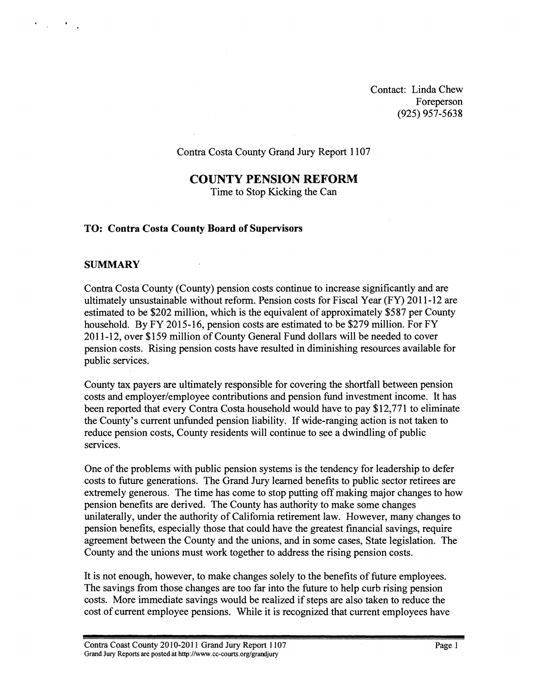Contact: Linda Chew Foreperson (925) 957-5638

### Contra Costa County Grand Jury Report 1107

### **COUNTY PENSION REFORM**

Time to Stop Kicking the Can

#### **TO: Contra Costa County Board of Supervisors**

#### **SUMMARY**

 $\mathcal{L}_{\text{max}}$  and  $\mathcal{L}_{\text{max}}$ 

Contra Costa County (County) pension costs continue to increase significantly and are ultimately unsustainable without reform. Pension costs for Fiscal Year (FY) 201 1-12 are estimated to be \$202 million, which is the equivalent of approximately \$587 per County household. By FY 2015-16, pension costs are estimated to be \$279 million. For FY 201 1-12, over \$159 million of County General Fund dollars will be needed to cover pension costs. Rising pension costs have resulted in diminishing resources available for public services.

County tax payers are ultimately responsible for covering the shortfall between pension costs and employer/employee contributions and pension fund investment income. It has been reported that every Contra Costa household would have to pay \$12,771 to eliminate the County's current unfunded pension liability. If wide-ranging action is not taken to reduce pension costs, County residents will continue to see a dwindling of public services.

One of the problems with public pension systems is the tendency for leadership to defer costs to future generations. The Grand Jury learned benefits to public sector retirees are extremely generous. The time has come to stop putting off making major changes to how pension benefits are derived. The County has authority to make some changes unilaterally, under the authority of California retirement law. However, many changes to pension benefits, especially those that could have the greatest financial savings, require agreement between the County and the unions, and in some cases, State legislation. The County and the unions must work together to address the rising pension costs.

It is not enough, however, to make changes solely to the benefits of future employees. The savings from those changes are too far into the future to help curb rising pension costs. More immediate savings would be realized if steps are also taken to reduce the cost of current employee pensions. While it is recognized that current employees have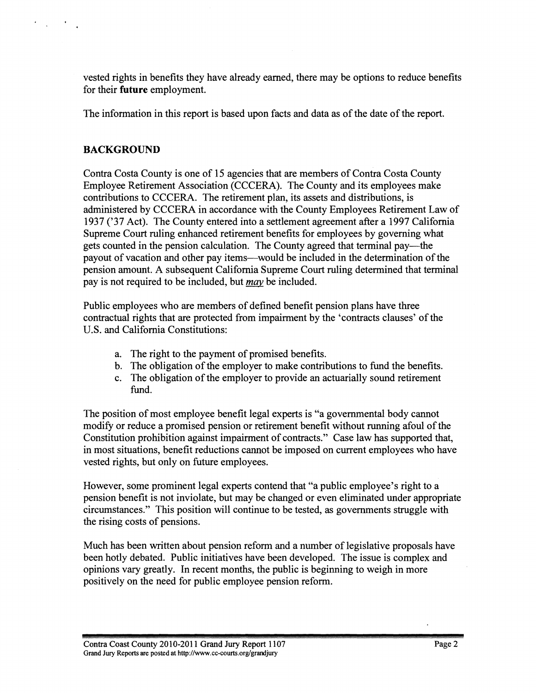vested rights in benefits they have already earned, there may be options to reduce benefits for their **future** employment.

The information in this report is based upon facts and data as of the date of the report.

## **BACKGROUND**

 $\mathcal{L}_{\text{max}}$  and  $\mathcal{L}_{\text{max}}$ 

Contra Costa County is one of 15 agencies that are members of Contra Costa County Employee Retirement Association (CCCERA). The County and its employees make contributions to CCCERA. The retirement plan, its assets and distributions, is administered by CCCERA in accordance with the County Employees Retirement Law of 1937 ('37 Act). The County entered into a settlement agreement after a 1997 California Supreme Court ruling enhanced retirement benefits for employees by governing what gets counted in the pension calculation. The County agreed that terminal pay-the payout of vacation and other pay items-would be included in the determination of the pension amount. A subsequent California Supreme Court ruling determined that terminal pay is not required to be included, but *may* be included.

Public employees who are members of defined benefit pension plans have three contractual rights that are protected from impairment by the 'contracts clauses' of the U.S. and California Constitutions:

- a. The right to the payment of promised benefits.
- b. The obligation of the employer to make contributions to fund the benefits.
- c. The obligation of the employer to provide an actuarially sound retirement fund.

The position of most employee benefit legal experts is "a governmental body cannot modify or reduce a promised pension or retirement benefit without running afoul of the Constitution prohibition against impairment of contracts." Case law has supported that, in most situations, benefit reductions cannot be imposed on current employees who have vested rights, but only on future employees.

However, some prominent legal experts contend that "a public employee's right to a pension benefit is not inviolate, but may be changed or even eliminated under appropriate circumstances." This position will continue to be tested, as governments struggle with the rising costs of pensions,

Much has been written about pension reform and a number of legislative proposals have been hotly debated. Public initiatives have been developed. The issue is complex and opinions vary greatly. In recent months, the public is beginning to weigh in more positively on the need for public employee pension reform.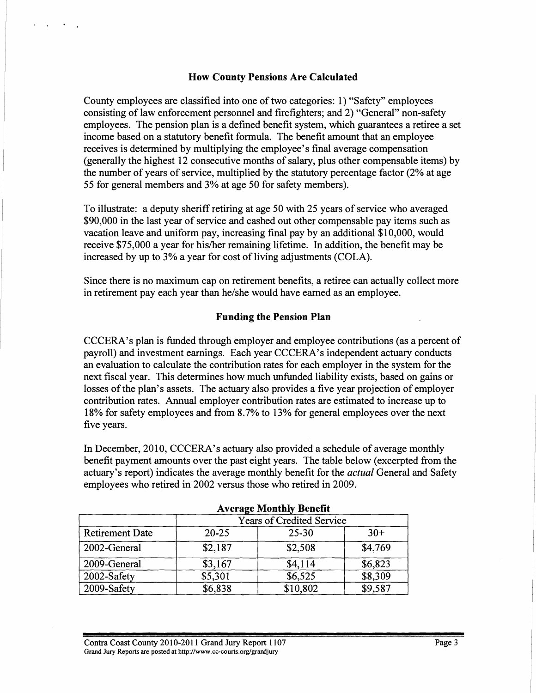### **How County Pensions Are Calculated**

County employees are classified into one of two categories: 1) "Safety" employees consisting of law enforcement personnel and firefighters; and 2) "General" non-safety employees. The pension plan is a defined benefit system, which guarantees a retiree a set income based on a statutory benefit formula. The benefit amount that an employee receives is determined by multiplying the employee's final average compensation (generally the highest 12 consecutive months of salary, plus other compensable items) by the number of years of service, multiplied by the statutory percentage factor (2% at age 55 for general members and 3% at age 50 for safety members).

To illustrate: a deputy sheriff retiring at age 50 with 25 years of service who averaged \$90,000 in the last year of service and cashed out other compensable pay items such as vacation leave and uniform pay, increasing final pay by an additional \$10,000, would receive \$75,000 a year for his/her remaining lifetime. In addition, the benefit may be increased by up to **3%** a year for cost of living adjustments (COLA).

Since there is no maximum cap on retirement benefits, a retiree can actually collect more in retirement pay each year than he/she would have earned as an employee.

#### **Funding the Pension Plan**

CCCERA's plan is funded through employer and employee contributions (as a percent of payroll) and investment earnings. Each year CCCERA's independent actuary conducts an evaluation to calculate the contribution rates for each employer in the system for the next fiscal year. This determines how much unfunded liability exists, based on gains or losses of the plan's assets. The actuary also provides a five year projection of employer contribution rates. Annual employer contribution rates are estimated to increase up to 18% for safety employees and from 8.7% to 13% for general employees over the next five years.

In December, 2010, CCCERA's actuary also provided a schedule of average monthly benefit payment amounts over the past eight years. The table below (excerpted from the actuary's report) indicates the average monthly benefit for the *actual* General and Safety employees who retired in 2002 versus those who retired in 2009.

| Average Monthly Benetit |                           |           |         |  |
|-------------------------|---------------------------|-----------|---------|--|
| <b>Retirement Date</b>  | Years of Credited Service |           |         |  |
|                         | $20 - 25$                 | $25 - 30$ | $30+$   |  |
| 2002-General            | \$2,187                   | \$2,508   | \$4,769 |  |
| 2009-General            | \$3,167                   | \$4,114   | \$6,823 |  |
| 2002-Safety             | \$5,301                   | \$6,525   | \$8,309 |  |
| 2009-Safety             | \$6,838                   | \$10,802  | \$9,587 |  |

#### **Average Monthly Benefit**

Contra Coast County 2010-2011 Grand Jury Report 1107 Grand **Jury Reports are posted at http://www.cc-courts.org/grandjury**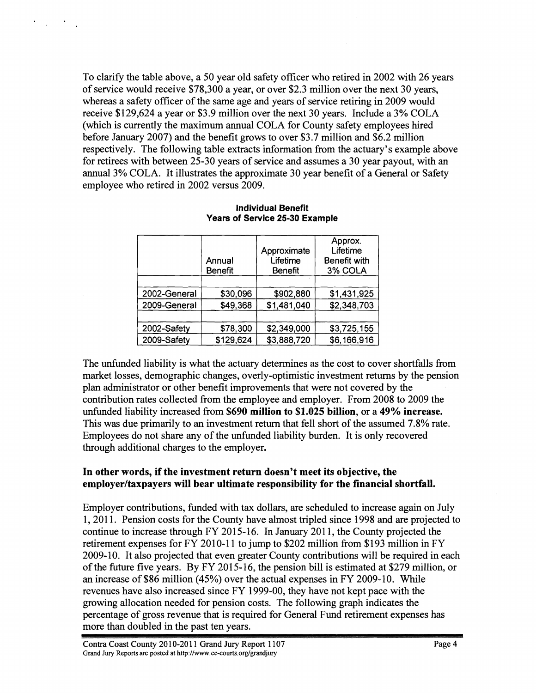To clarify the table above, a 50 year old safety officer who retired in 2002 with 26 years of service would receive \$78,300 a year, or over \$2.3 million over the next 30 years, whereas a safety officer of the same age and years of service retiring in 2009 would receive \$129,624 a year or \$3.9 million over the next 30 years. Include a 3% COLA (which is currently the maximum annual COLA for County safety employees hired before January 2007) and the benefit grows to over \$3.7 million and \$6.2 million respectively. The following table extracts information from the actuary's example above for retirees with between 25-30 years of service and assumes a 30 year payout, with an annual 3% COLA. It illustrates the approximate 30 year benefit of a General or Safety employee who retired in 2002 versus 2009.

 $\Delta \sim 10^{-10}$ 

|              |                | Approximate | Approx.<br>Lifetime |
|--------------|----------------|-------------|---------------------|
|              | Annual         | Lifetime    | <b>Benefit with</b> |
|              | <b>Benefit</b> | Benefit     | 3% COLA             |
|              |                |             |                     |
| 2002-General | \$30,096       | \$902,880   | \$1,431,925         |
| 2009-General | \$49,368       | \$1,481,040 | \$2,348,703         |
|              |                |             |                     |
| 2002-Safety  | \$78,300       | \$2,349,000 | \$3,725,155         |
| 2009-Safety  | \$129,624      | \$3,888,720 | \$6,166,916         |

#### **Individual Benefit Years of Service 25-30 Example**

The unfunded liability is what the actuary determines as the cost to cover shortfalls from market losses, demographic changes, overly-optimistic investment returns by the pension plan administrator or other benefit improvements that were not covered by the contribution rates collected from the employee and employer. From 2008 to 2009 the unfunded liability increased from **\$690 million to \$1.025 billion,** or a **49% increase.**  This was due primarily to an investment return that fell short of the assumed 7.8% rate. Employees do not share any of the unfunded liability burden. It is only recovered through additional charges to the employer.

### **In other words, if the investment return doesn't meet its objective, the employer/taxpayers will bear ultimate responsibility for the financial shortfall.**

Employer contributions, funded with tax dollars, are scheduled to increase again on July 1,201 1. Pension costs for the County have almost tripled since 1998 and are projected to continue to increase through FY 2015-16. In January 2011, the County projected the retirement expenses for FY 2010-11 to jump to \$202 million from \$193 million in FY 2009-10. It also projected that even greater County contributions will be required in each of the future five years. By FY 201 5-16, the pension bill is estimated at \$279 million, or an increase of \$86 million (45%) over the actual expenses in FY 2009-10. While revenues have also increased since FY 1999-00, they have not kept pace with the growing allocation needed for pension costs. The following graph indicates the percentage of gross revenue that is required for General Fund retirement expenses has more than doubled in the past ten years.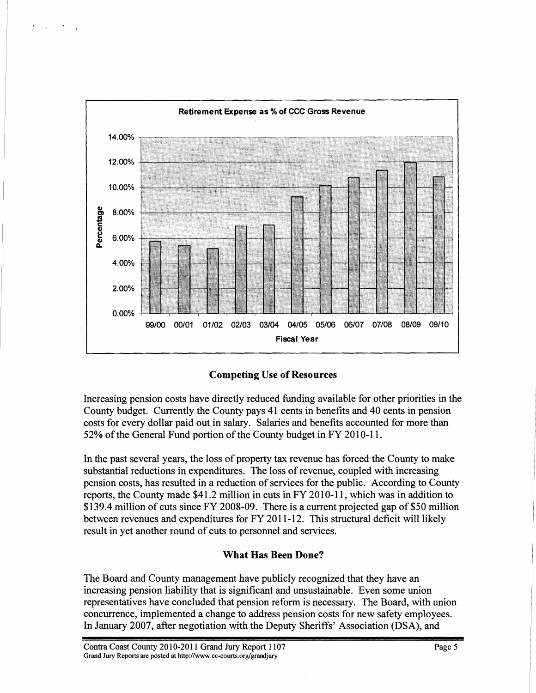

**Competing Use of Resources** 

Increasing pension costs have directly reduced funding available for other priorities in the County budget. Currently the County pays 41 cents in benefits and 40 cents in pension costs for every dollar paid out in salary. Salaries and benefits accounted for more than 52% of the General Fund portion of the County budget in FY 2010-11.

In the past several years, the loss of property tax revenue has forced the County to make substantial reductions in expenditures. The loss of revenue, coupled with increasing pension costs, has resulted in a reduction of services for the public. According to County reports, the County made  $$41.2$  million in cuts in FY 2010-11, which was in addition to \$1 39.4 million of cuts since FY 2008-09. There is a current projected gap of \$50 million between revenues and expenditures for FY 2011-12. This structural deficit will likely result in yet another round of cuts to personnel and services.

# **What Has Been Done?**

The Board and County management have publicly recognized that they have an increasing pension liability that is significant and unsustainable. Even some union representatives have concluded that pension reform is necessary. The Board, with union concurrence, implemented a change to address pension costs for new safety employees. In January 2007, after negotiation with the Deputy Sheriffs' Association (DSA), and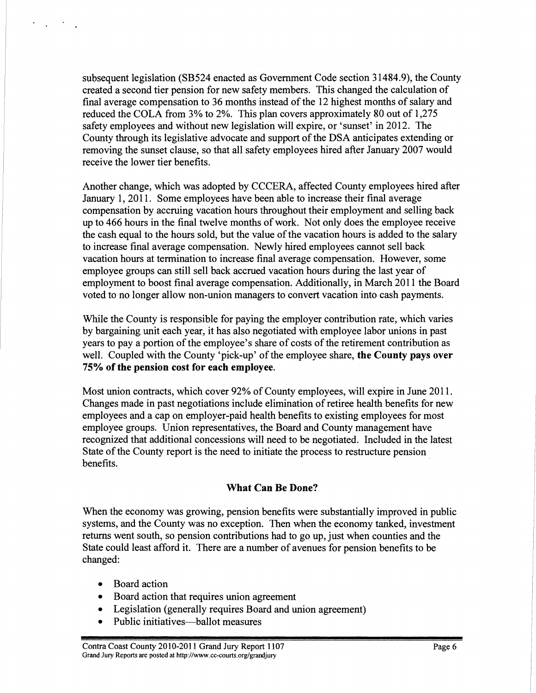subsequent legislation (SB524 enacted as Government Code section 3 1484.9), the County created a second tier pension for new safety members. This changed the calculation of final average compensation to 36 months instead of the 12 highest months of salary and reduced the COLA from 3% to 2%. This plan covers approximately 80 out of 1,275 safety employees and without new legislation will expire, or 'sunset' in 2012. The County through its legislative advocate and support of the DSA anticipates extending or removing the sunset clause, so that all safety employees hired after January 2007 would receive the lower tier benefits.

Another change, which was adopted by CCCERA, affected County employees hired after January 1, 2011. Some employees have been able to increase their final average compensation by accruing vacation hours throughout their employment and selling back up to 466 hours in the final twelve months of work. Not only does the employee receive the cash equal to the hours sold, but the value of the vacation hours is added to the salary to increase final average compensation. Newly hired employees cannot sell back vacation hours at termination to increase final average compensation. However, some employee groups can still sell back accrued vacation hours during the last year of employment to boost final average compensation. Additionally, in March 2011 the Board voted to no longer allow non-union managers to convert vacation into cash payments.

While the County is responsible for paying the employer contribution rate, which varies by bargaining unit each year, it has also negotiated with employee labor unions in past years to pay a portion of the employee's share of costs of the retirement contribution as well. Coupled with the County 'pick-up' of the employee share, **the County pays over 75% of the pension cost for each employee.** 

Most union contracts, which cover 92% of County employees, will expire in June 2011. Changes made in past negotiations include elimination of retiree health benefits for new employees and a cap on employer-paid health benefits to existing employees for most employee groups. Union representatives, the Board and County management have recognized that additional concessions will need to be negotiated. Included in the latest State of the County report is the need to initiate the process to restructure pension benefits.

### **What Can Be Done?**

When the economy was growing, pension benefits were substantially improved in public systems, and the County was no exception. Then when the economy tanked, investment returns went south, so pension contributions had to go up, just when counties and the State could least afford it. There are a number of avenues for pension benefits to be changed:

Board action  $\bullet$ 

 $\mathcal{L}_{\text{max}}$  ,  $\mathcal{L}_{\text{max}}$ 

- Board action that requires union agreement
- Legislation (generally requires Board and union agreement)
- Public initiatives—ballot measures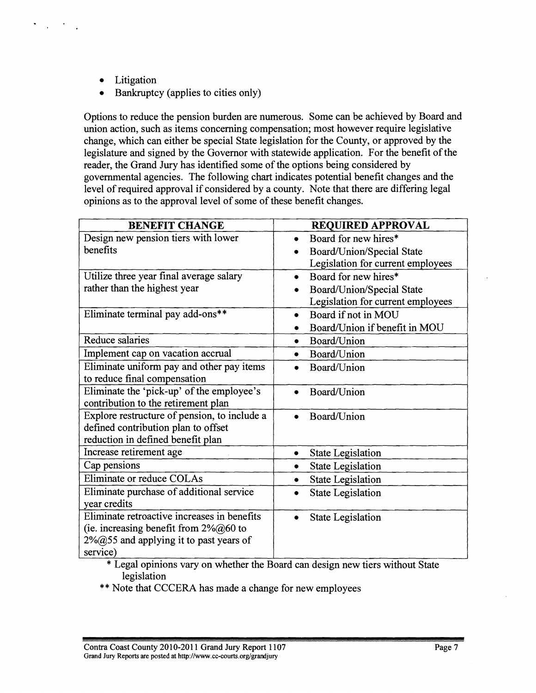Litigation  $\bullet$ 

 $\Delta_{\rm{max}}$  ,  $\Delta_{\rm{max}}$ 

Bankruptcy (applies to cities only)

Options to reduce the pension burden are numerous. Some can be achieved by Board and union action, such as items concerning compensation; most however require legislative change, which can either be special State legislation for the County, or approved by the legislature and signed by the Governor with statewide application. For the benefit of the reader, the Grand Jury has identified some of the options being considered by governmental agencies. The following chart indicates potential benefit changes and the level of required approval if considered by a county. Note that there are differing legal opinions as to the approval level of some of these benefit changes.

| <b>BENEFIT CHANGE</b>                        | <b>REQUIRED APPROVAL</b>               |  |
|----------------------------------------------|----------------------------------------|--|
| Design new pension tiers with lower          | Board for new hires*<br>$\bullet$      |  |
| benefits                                     | Board/Union/Special State              |  |
|                                              | Legislation for current employees      |  |
| Utilize three year final average salary      | Board for new hires*<br>$\bullet$      |  |
| rather than the highest year                 | Board/Union/Special State<br>$\bullet$ |  |
|                                              | Legislation for current employees      |  |
| Eliminate terminal pay add-ons**             | Board if not in MOU<br>$\bullet$       |  |
|                                              | Board/Union if benefit in MOU          |  |
| <b>Reduce salaries</b>                       | Board/Union<br>$\bullet$               |  |
| Implement cap on vacation accrual            | Board/Union<br>$\bullet$               |  |
| Eliminate uniform pay and other pay items    | Board/Union                            |  |
| to reduce final compensation                 |                                        |  |
| Eliminate the 'pick-up' of the employee's    | Board/Union                            |  |
| contribution to the retirement plan          |                                        |  |
| Explore restructure of pension, to include a | Board/Union                            |  |
| defined contribution plan to offset          |                                        |  |
| reduction in defined benefit plan            |                                        |  |
| Increase retirement age                      | <b>State Legislation</b><br>$\bullet$  |  |
| Cap pensions                                 | <b>State Legislation</b>               |  |
| Eliminate or reduce COLAs                    | <b>State Legislation</b>               |  |
| Eliminate purchase of additional service     | <b>State Legislation</b>               |  |
| year credits                                 |                                        |  |
| Eliminate retroactive increases in benefits  | <b>State Legislation</b>               |  |
| (ie. increasing benefit from $2\%@60$ to     |                                        |  |
| $2\%$ @55 and applying it to past years of   |                                        |  |
| service)                                     |                                        |  |

\* Legal opinions vary on whether the Board can design new tiers without State legislation

\*\* Note that CCCERA has made a change for new employees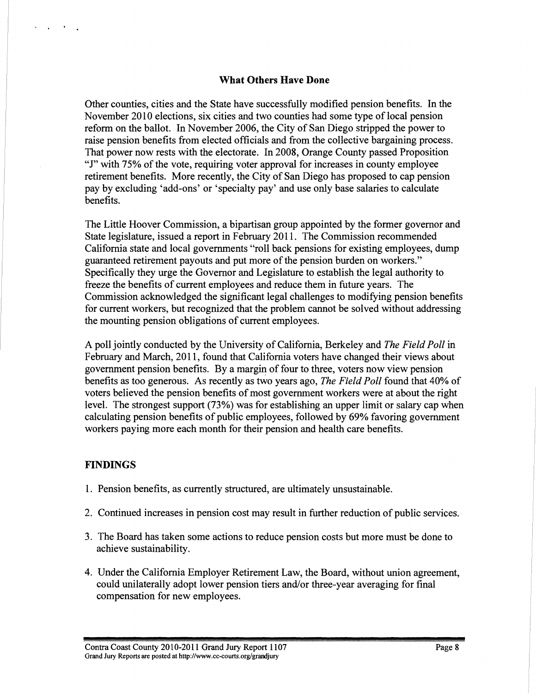### **What Others Have Done**

Other counties, cities and the State have successfully modified pension benefits. In the November 2010 elections, six cities and two counties had some type of local pension reform on the ballot. In November 2006, the City of San Diego stripped the power to raise pension benefits from elected officials and from the collective bargaining process. That power now rests with the electorate. In 2008, Orange County passed Proposition "J" with 75% of the vote, requiring voter approval for increases in county employee retirement benefits. More recently, the City of San Diego has proposed to cap pension pay by excluding 'add-ons' or 'specialty pay' and use only base salaries to calculate benefits.

The Little Hoover Commission, a bipartisan group appointed by the former governor and State legislature, issued a report in February 2011. The Commission recommended California state and local governments "roll back pensions for existing employees, dump guaranteed retirement payouts and put more of the pension burden on workers." Specifically they urge the Governor and Legislature to establish the legal authority to fieeze the benefits of current employees and reduce them in future years. The Commission acknowledged the significant legal challenges to modifying pension benefits for current workers, but recognized that the problem cannot be solved without addressing the mounting pension obligations of current employees.

A poll jointly conducted by the University of California, Berkeley and *The Field Poll* in February and March, 2011, found that California voters have changed their views about government pension benefits. By a margin of four to three, voters now view pension benefits as too generous. As recently as two years ago, *The Field Poll* found that 40% of voters believed the pension benefits of most government workers were at about the right level. The strongest support **(73%)** was for establishing an upper limit or salary cap when calculating pension benefits of public employees, followed by 69% favoring government workers paying more each month for their pension and health care benefits.

### **FINDINGS**

 $\sim$ 

- 1. Pension benefits, as currently structured, are ultimately unsustainable.
- 2. Continued increases in pension cost may result in further reduction of public services.
- **3.** The Board has taken some actions to reduce pension costs but more must be done to achieve sustainability.
- 4. Under the California Employer Retirement Law, the Board, without union agreement, could unilaterally adopt lower pension tiers and/or three-year averaging for final compensation for new employees.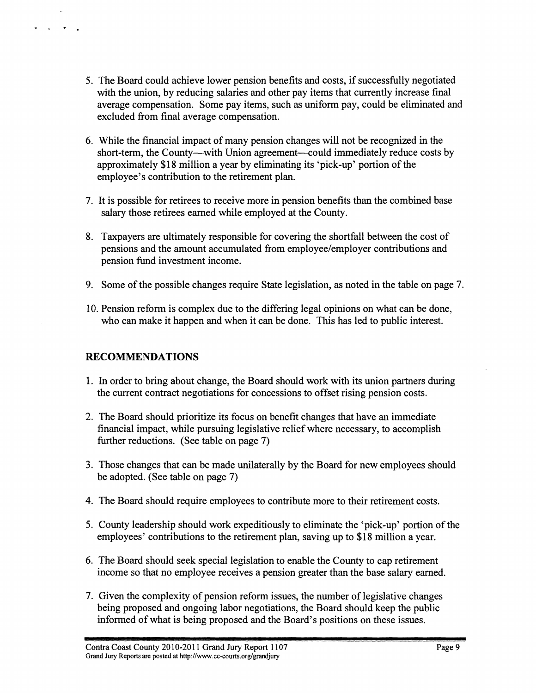- 5. The Board could achieve lower pension benefits and costs, if successfully negotiated with the union, by reducing salaries and other pay items that currently increase final average compensation. Some pay items, such as uniform pay, could be eliminated and excluded from final average compensation.
- 6. While the financial impact of many pension changes will not be recognized in the short-term, the County—with Union agreement—could immediately reduce costs by approximately \$1 8 million a year by eliminating its 'pick-up' portion of the employee's contribution to the retirement plan.
- 7. It is possible for retirees to receive more in pension benefits than the combined base salary those retirees earned while employed at the County.
- 8. Taxpayers are ultimately responsible for covering the shortfall between the cost of pensions and the amount accumulated from employee/employer contributions and pension fund investment income.
- 9. Some of the possible changes require State legislation, as noted in the table on page 7.
- 10. Pension reform is complex due to the differing legal opinions on what can be done, who can make it happen and when it can be done. This has led to public interest.

### **RECOMMENDATIONS**

 $\Delta$ 

- 1. In order to bring about change, the Board should work with its union partners during the current contract negotiations for concessions to offset rising pension costs.
- 2. The Board should prioritize its focus on benefit changes that have an immediate financial impact, while pursuing legislative relief where necessary, to accomplish further reductions. (See table on page 7)
- **3.** Those changes that can be made unilaterally by the Board for new employees should be adopted. (See table on page 7)
- 4. The Board should require employees to contribute more to their retirement costs.
- 5. County leadership should work expeditiously to eliminate the 'pick-up' portion of the employees' contributions to the retirement plan, saving up to \$18 million a year.
- 6. The Board should seek special legislation to enable the County to cap retirement income so that no employee receives a pension greater than the base salary earned.
- 7. Given the complexity of pension reform issues, the number of legislative changes being proposed and ongoing labor negotiations, the Board should keep the public informed of what is being proposed and the Board's positions on these issues.